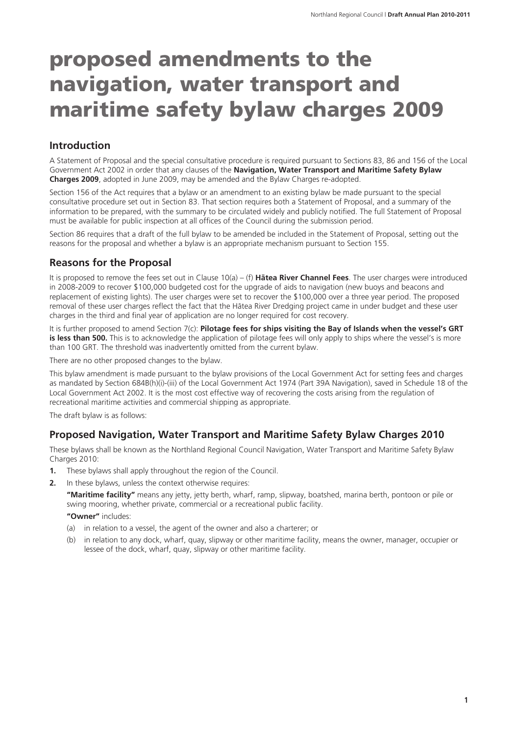# proposed amendments to the navigation, water transport and maritime safety bylaw charges 2009

### **Introduction**

A Statement of Proposal and the special consultative procedure is required pursuant to Sections 83, 86 and 156 of the Local Government Act 2002 in order that any clauses of the **Navigation, Water Transport and Maritime Safety Bylaw Charges 2009**, adopted in June 2009, may be amended and the Bylaw Charges re-adopted.

Section 156 of the Act requires that a bylaw or an amendment to an existing bylaw be made pursuant to the special consultative procedure set out in Section 83. That section requires both a Statement of Proposal, and a summary of the information to be prepared, with the summary to be circulated widely and publicly notified. The full Statement of Proposal must be available for public inspection at all offices of the Council during the submission period.

Section 86 requires that a draft of the full bylaw to be amended be included in the Statement of Proposal, setting out the reasons for the proposal and whether a bylaw is an appropriate mechanism pursuant to Section 155.

### **Reasons for the Proposal**

It is proposed to remove the fees set out in Clause 10(a) – (f) **Hätea River Channel Fees**. The user charges were introduced in 2008-2009 to recover \$100,000 budgeted cost for the upgrade of aids to navigation (new buoys and beacons and replacement of existing lights). The user charges were set to recover the \$100,000 over a three year period. The proposed removal of these user charges reflect the fact that the Hätea River Dredging project came in under budget and these user charges in the third and final year of application are no longer required for cost recovery.

It is further proposed to amend Section 7(c): **Pilotage fees for ships visiting the Bay of Islands when the vessel's GRT is less than 500.** This is to acknowledge the application of pilotage fees will only apply to ships where the vessel's is more than 100 GRT. The threshold was inadvertently omitted from the current bylaw.

There are no other proposed changes to the bylaw.

This bylaw amendment is made pursuant to the bylaw provisions of the Local Government Act for setting fees and charges as mandated by Section 684B(h)(i)-(iii) of the Local Government Act 1974 (Part 39A Navigation), saved in Schedule 18 of the Local Government Act 2002. It is the most cost effective way of recovering the costs arising from the regulation of recreational maritime activities and commercial shipping as appropriate.

The draft bylaw is as follows:

### **Proposed Navigation, Water Transport and Maritime Safety Bylaw Charges 2010**

These bylaws shall be known as the Northland Regional Council Navigation, Water Transport and Maritime Safety Bylaw Charges 2010:

- **1.** These bylaws shall apply throughout the region of the Council.
- **2.** In these bylaws, unless the context otherwise requires:

**"Maritime facility"** means any jetty, jetty berth, wharf, ramp, slipway, boatshed, marina berth, pontoon or pile or swing mooring, whether private, commercial or a recreational public facility.

**"Owner"** includes:

- (a) in relation to a vessel, the agent of the owner and also a charterer; or
- (b) in relation to any dock, wharf, quay, slipway or other maritime facility, means the owner, manager, occupier or lessee of the dock, wharf, quay, slipway or other maritime facility.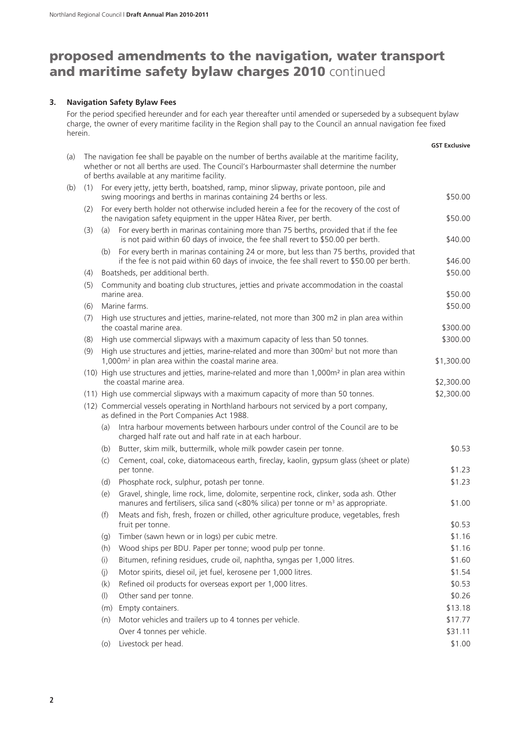# proposed amendments to the navigation, water transport and maritime safety bylaw charges 2010 continued

#### **3. Navigation Safety Bylaw Fees**

For the period specified hereunder and for each year thereafter until amended or superseded by a subsequent bylaw charge, the owner of every maritime facility in the Region shall pay to the Council an annual navigation fee fixed herein.

|     |     |                                                                                                                                                                                                                                                |                                                                                                                                                                                          | <b>GST Exclusive</b> |  |  |
|-----|-----|------------------------------------------------------------------------------------------------------------------------------------------------------------------------------------------------------------------------------------------------|------------------------------------------------------------------------------------------------------------------------------------------------------------------------------------------|----------------------|--|--|
| (a) |     | The navigation fee shall be payable on the number of berths available at the maritime facility,<br>whether or not all berths are used. The Council's Harbourmaster shall determine the number<br>of berths available at any maritime facility. |                                                                                                                                                                                          |                      |  |  |
| (b) | (1) |                                                                                                                                                                                                                                                | For every jetty, jetty berth, boatshed, ramp, minor slipway, private pontoon, pile and<br>swing moorings and berths in marinas containing 24 berths or less.                             | \$50.00              |  |  |
|     | (2) |                                                                                                                                                                                                                                                | For every berth holder not otherwise included herein a fee for the recovery of the cost of<br>the navigation safety equipment in the upper Hātea River, per berth.                       | \$50.00              |  |  |
|     | (3) | (a)                                                                                                                                                                                                                                            | For every berth in marinas containing more than 75 berths, provided that if the fee<br>is not paid within 60 days of invoice, the fee shall revert to \$50.00 per berth.                 | \$40.00              |  |  |
|     |     | (b)                                                                                                                                                                                                                                            | For every berth in marinas containing 24 or more, but less than 75 berths, provided that<br>if the fee is not paid within 60 days of invoice, the fee shall revert to \$50.00 per berth. | \$46.00              |  |  |
|     | (4) | Boatsheds, per additional berth.                                                                                                                                                                                                               |                                                                                                                                                                                          | \$50.00              |  |  |
|     | (5) | Community and boating club structures, jetties and private accommodation in the coastal<br>marine area.                                                                                                                                        |                                                                                                                                                                                          |                      |  |  |
|     | (6) |                                                                                                                                                                                                                                                | Marine farms.                                                                                                                                                                            | \$50.00              |  |  |
|     | (7) |                                                                                                                                                                                                                                                | High use structures and jetties, marine-related, not more than 300 m2 in plan area within<br>the coastal marine area.                                                                    | \$300.00             |  |  |
|     | (8) |                                                                                                                                                                                                                                                | High use commercial slipways with a maximum capacity of less than 50 tonnes.                                                                                                             | \$300.00             |  |  |
|     | (9) | High use structures and jetties, marine-related and more than 300m <sup>2</sup> but not more than<br>1,000m <sup>2</sup> in plan area within the coastal marine area.                                                                          |                                                                                                                                                                                          | \$1,300.00           |  |  |
|     |     |                                                                                                                                                                                                                                                | (10) High use structures and jetties, marine-related and more than 1,000m <sup>2</sup> in plan area within<br>the coastal marine area.                                                   | \$2,300.00           |  |  |
|     |     | (11) High use commercial slipways with a maximum capacity of more than 50 tonnes.                                                                                                                                                              |                                                                                                                                                                                          | \$2,300.00           |  |  |
|     |     | (12) Commercial vessels operating in Northland harbours not serviced by a port company,<br>as defined in the Port Companies Act 1988.                                                                                                          |                                                                                                                                                                                          |                      |  |  |
|     |     | (a)                                                                                                                                                                                                                                            | Intra harbour movements between harbours under control of the Council are to be<br>charged half rate out and half rate in at each harbour.                                               |                      |  |  |
|     |     | (b)                                                                                                                                                                                                                                            | Butter, skim milk, buttermilk, whole milk powder casein per tonne.                                                                                                                       | \$0.53               |  |  |
|     |     | (C)                                                                                                                                                                                                                                            | Cement, coal, coke, diatomaceous earth, fireclay, kaolin, gypsum glass (sheet or plate)<br>per tonne.                                                                                    | \$1.23               |  |  |
|     |     | (d)                                                                                                                                                                                                                                            | Phosphate rock, sulphur, potash per tonne.                                                                                                                                               | \$1.23               |  |  |
|     |     | (e)                                                                                                                                                                                                                                            | Gravel, shingle, lime rock, lime, dolomite, serpentine rock, clinker, soda ash. Other<br>manures and fertilisers, silica sand (<80% silica) per tonne or m <sup>3</sup> as appropriate.  | \$1.00               |  |  |
|     |     | (f)                                                                                                                                                                                                                                            | Meats and fish, fresh, frozen or chilled, other agriculture produce, vegetables, fresh<br>fruit per tonne.                                                                               | \$0.53               |  |  |
|     |     | (g)                                                                                                                                                                                                                                            | Timber (sawn hewn or in logs) per cubic metre.                                                                                                                                           | \$1.16               |  |  |
|     |     | (h)                                                                                                                                                                                                                                            | Wood ships per BDU. Paper per tonne; wood pulp per tonne.                                                                                                                                | \$1.16               |  |  |
|     |     | (i)                                                                                                                                                                                                                                            | Bitumen, refining residues, crude oil, naphtha, syngas per 1,000 litres.                                                                                                                 | \$1.60               |  |  |
|     |     | (j)                                                                                                                                                                                                                                            | Motor spirits, diesel oil, jet fuel, kerosene per 1,000 litres.                                                                                                                          | \$1.54               |  |  |
|     |     | (k)                                                                                                                                                                                                                                            | Refined oil products for overseas export per 1,000 litres.                                                                                                                               | \$0.53               |  |  |
|     |     | $($ l $)$                                                                                                                                                                                                                                      | Other sand per tonne.                                                                                                                                                                    | \$0.26               |  |  |
|     |     | (m)                                                                                                                                                                                                                                            | Empty containers.                                                                                                                                                                        | \$13.18              |  |  |
|     |     | (n)                                                                                                                                                                                                                                            | Motor vehicles and trailers up to 4 tonnes per vehicle.                                                                                                                                  | \$17.77              |  |  |
|     |     |                                                                                                                                                                                                                                                | Over 4 tonnes per vehicle.                                                                                                                                                               | \$31.11              |  |  |
|     |     | (0)                                                                                                                                                                                                                                            | Livestock per head.                                                                                                                                                                      | \$1.00               |  |  |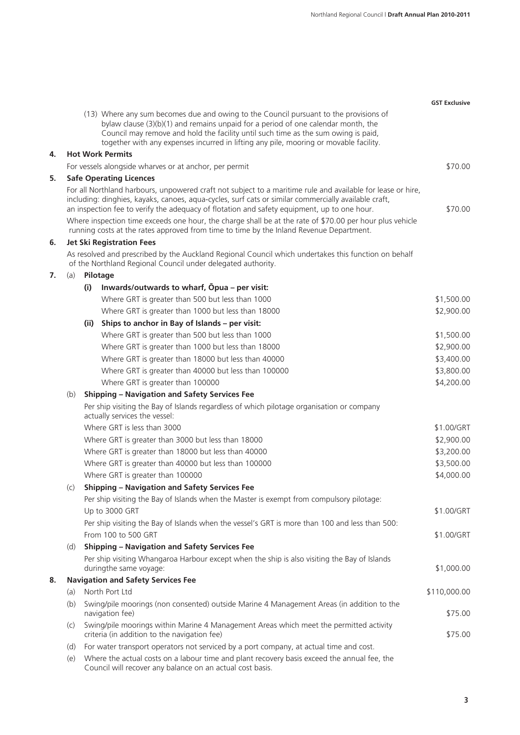|    |                                                                                                                                                                      |      |                                                                                                                                                                                                                                                                                                                                                           | <b>GST Exclusive</b> |  |
|----|----------------------------------------------------------------------------------------------------------------------------------------------------------------------|------|-----------------------------------------------------------------------------------------------------------------------------------------------------------------------------------------------------------------------------------------------------------------------------------------------------------------------------------------------------------|----------------------|--|
|    |                                                                                                                                                                      |      | (13) Where any sum becomes due and owing to the Council pursuant to the provisions of<br>bylaw clause (3)(b)(1) and remains unpaid for a period of one calendar month, the<br>Council may remove and hold the facility until such time as the sum owing is paid,<br>together with any expenses incurred in lifting any pile, mooring or movable facility. |                      |  |
| 4. |                                                                                                                                                                      |      | <b>Hot Work Permits</b>                                                                                                                                                                                                                                                                                                                                   |                      |  |
|    |                                                                                                                                                                      |      | For vessels alongside wharves or at anchor, per permit                                                                                                                                                                                                                                                                                                    | \$70.00              |  |
| 5. |                                                                                                                                                                      |      | <b>Safe Operating Licences</b>                                                                                                                                                                                                                                                                                                                            |                      |  |
|    |                                                                                                                                                                      |      | For all Northland harbours, unpowered craft not subject to a maritime rule and available for lease or hire,<br>including: dinghies, kayaks, canoes, agua-cycles, surf cats or similar commercially available craft,<br>an inspection fee to verify the adequacy of flotation and safety equipment, up to one hour.                                        | \$70.00              |  |
|    |                                                                                                                                                                      |      | Where inspection time exceeds one hour, the charge shall be at the rate of \$70.00 per hour plus vehicle<br>running costs at the rates approved from time to time by the Inland Revenue Department.                                                                                                                                                       |                      |  |
| 6. |                                                                                                                                                                      |      | <b>Jet Ski Registration Fees</b>                                                                                                                                                                                                                                                                                                                          |                      |  |
|    | As resolved and prescribed by the Auckland Regional Council which undertakes this function on behalf<br>of the Northland Regional Council under delegated authority. |      |                                                                                                                                                                                                                                                                                                                                                           |                      |  |
| 7. | (a)                                                                                                                                                                  |      | Pilotage                                                                                                                                                                                                                                                                                                                                                  |                      |  |
|    |                                                                                                                                                                      | (i)  | Inwards/outwards to wharf, Opua – per visit:                                                                                                                                                                                                                                                                                                              |                      |  |
|    |                                                                                                                                                                      |      | Where GRT is greater than 500 but less than 1000                                                                                                                                                                                                                                                                                                          | \$1,500.00           |  |
|    |                                                                                                                                                                      |      | Where GRT is greater than 1000 but less than 18000                                                                                                                                                                                                                                                                                                        | \$2,900.00           |  |
|    |                                                                                                                                                                      | (ii) | Ships to anchor in Bay of Islands - per visit:                                                                                                                                                                                                                                                                                                            |                      |  |
|    |                                                                                                                                                                      |      | Where GRT is greater than 500 but less than 1000                                                                                                                                                                                                                                                                                                          | \$1,500.00           |  |
|    |                                                                                                                                                                      |      | Where GRT is greater than 1000 but less than 18000                                                                                                                                                                                                                                                                                                        | \$2,900.00           |  |
|    |                                                                                                                                                                      |      | Where GRT is greater than 18000 but less than 40000                                                                                                                                                                                                                                                                                                       | \$3,400.00           |  |
|    |                                                                                                                                                                      |      | Where GRT is greater than 40000 but less than 100000                                                                                                                                                                                                                                                                                                      | \$3,800.00           |  |
|    |                                                                                                                                                                      |      | Where GRT is greater than 100000                                                                                                                                                                                                                                                                                                                          | \$4,200.00           |  |
|    | (b)                                                                                                                                                                  |      | <b>Shipping - Navigation and Safety Services Fee</b>                                                                                                                                                                                                                                                                                                      |                      |  |
|    |                                                                                                                                                                      |      | Per ship visiting the Bay of Islands regardless of which pilotage organisation or company<br>actually services the vessel:                                                                                                                                                                                                                                |                      |  |
|    |                                                                                                                                                                      |      | Where GRT is less than 3000                                                                                                                                                                                                                                                                                                                               | \$1.00/GRT           |  |
|    |                                                                                                                                                                      |      | Where GRT is greater than 3000 but less than 18000                                                                                                                                                                                                                                                                                                        | \$2,900.00           |  |
|    |                                                                                                                                                                      |      | Where GRT is greater than 18000 but less than 40000                                                                                                                                                                                                                                                                                                       | \$3,200.00           |  |
|    |                                                                                                                                                                      |      | Where GRT is greater than 40000 but less than 100000                                                                                                                                                                                                                                                                                                      | \$3,500.00           |  |
|    |                                                                                                                                                                      |      | Where GRT is greater than 100000                                                                                                                                                                                                                                                                                                                          | \$4,000.00           |  |
|    | (C)                                                                                                                                                                  |      | <b>Shipping - Navigation and Safety Services Fee</b>                                                                                                                                                                                                                                                                                                      |                      |  |
|    |                                                                                                                                                                      |      | Per ship visiting the Bay of Islands when the Master is exempt from compulsory pilotage:                                                                                                                                                                                                                                                                  |                      |  |
|    |                                                                                                                                                                      |      | Up to 3000 GRT                                                                                                                                                                                                                                                                                                                                            | \$1.00/GRT           |  |
|    |                                                                                                                                                                      |      | Per ship visiting the Bay of Islands when the vessel's GRT is more than 100 and less than 500:<br>From 100 to 500 GRT                                                                                                                                                                                                                                     | \$1.00/GRT           |  |
|    | (d)                                                                                                                                                                  |      | <b>Shipping - Navigation and Safety Services Fee</b>                                                                                                                                                                                                                                                                                                      |                      |  |
|    |                                                                                                                                                                      |      | Per ship visiting Whangaroa Harbour except when the ship is also visiting the Bay of Islands<br>duringthe same voyage:                                                                                                                                                                                                                                    | \$1,000.00           |  |
| 8. |                                                                                                                                                                      |      | <b>Navigation and Safety Services Fee</b>                                                                                                                                                                                                                                                                                                                 |                      |  |
|    | (a)                                                                                                                                                                  |      | North Port Ltd                                                                                                                                                                                                                                                                                                                                            | \$110,000.00         |  |
|    | (b)                                                                                                                                                                  |      | Swing/pile moorings (non consented) outside Marine 4 Management Areas (in addition to the<br>navigation fee)                                                                                                                                                                                                                                              | \$75.00              |  |
|    | (c)                                                                                                                                                                  |      | Swing/pile moorings within Marine 4 Management Areas which meet the permitted activity<br>criteria (in addition to the navigation fee)                                                                                                                                                                                                                    | \$75.00              |  |
|    | (d)                                                                                                                                                                  |      | For water transport operators not serviced by a port company, at actual time and cost.                                                                                                                                                                                                                                                                    |                      |  |
|    | (e)                                                                                                                                                                  |      | Where the actual costs on a labour time and plant recovery basis exceed the annual fee, the<br>Council will recover any balance on an actual cost basis.                                                                                                                                                                                                  |                      |  |